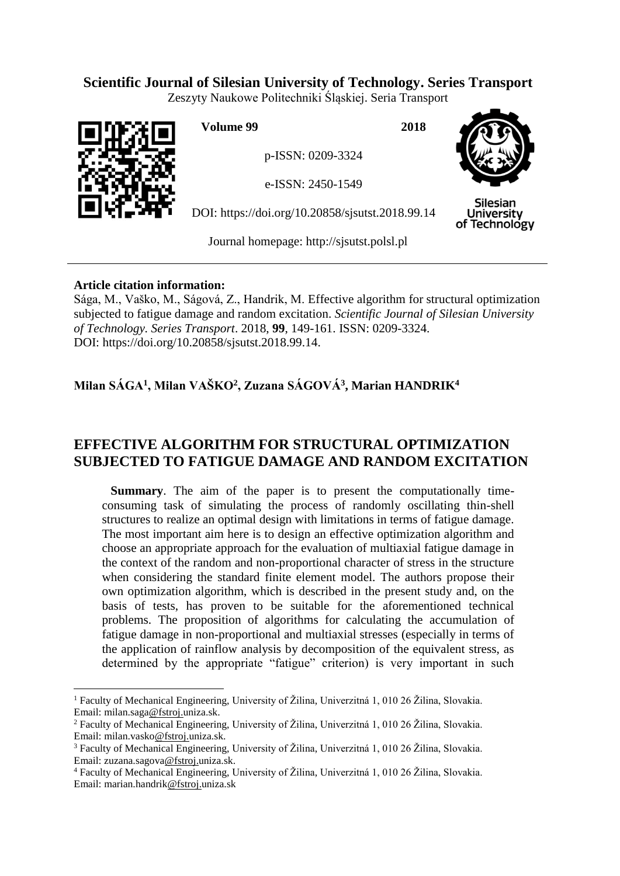# **Scientific Journal of Silesian University of Technology. Series Transport**

Zeszyty Naukowe Politechniki Śląskiej. Seria Transport



 $\overline{a}$ 

**Volume 99 2018**

p-ISSN: 0209-3324

e-ISSN: 2450-1549

DOI: https://doi.org/10.20858/sjsutst.2018.99.14



**Silesian University** of Technology

Journal homepage: [http://sjsutst.polsl.pl](http://sjsutst.polsl.pl/)

# **Article citation information:**

Sága, M., Vaško, M., Ságová, Z., Handrik, M. Effective algorithm for structural optimization subjected to fatigue damage and random excitation. *Scientific Journal of Silesian University of Technology. Series Transport*. 2018, **99**, 149-161. ISSN: 0209-3324. DOI: https://doi.org/10.20858/sjsutst.2018.99.14.

# **Milan SÁGA<sup>1</sup> , Milan VAŠKO<sup>2</sup> , Zuzana SÁGOVÁ<sup>3</sup> , Marian HANDRIK<sup>4</sup>**

# **EFFECTIVE ALGORITHM FOR STRUCTURAL OPTIMIZATION SUBJECTED TO FATIGUE DAMAGE AND RANDOM EXCITATION**

**Summary**. The aim of the paper is to present the computationally timeconsuming task of simulating the process of randomly oscillating thin-shell structures to realize an optimal design with limitations in terms of fatigue damage. The most important aim here is to design an effective optimization algorithm and choose an appropriate approach for the evaluation of multiaxial fatigue damage in the context of the random and non-proportional character of stress in the structure when considering the standard finite element model. The authors propose their own optimization algorithm, which is described in the present study and, on the basis of tests, has proven to be suitable for the aforementioned technical problems. The proposition of algorithms for calculating the accumulation of fatigue damage in non-proportional and multiaxial stresses (especially in terms of the application of rainflow analysis by decomposition of the equivalent stress, as determined by the appropriate "fatigue" criterion) is very important in such

<sup>1</sup> Faculty of Mechanical Engineering, University of Žilina, Univerzitná 1, 010 26 Žilina, Slovakia. Email: milan.saga@fstroj.uniza.sk.

<sup>2</sup> Faculty of Mechanical Engineering, University of Žilina, Univerzitná 1, 010 26 Žilina, Slovakia. Email: milan.vasko@fstroj.uniza.sk.

<sup>3</sup> Faculty of Mechanical Engineering, University of Žilina, Univerzitná 1, 010 26 Žilina, Slovakia. Email: zuzana.sagova@fstroj.uniza.sk.

<sup>4</sup> Faculty of Mechanical Engineering, University of Žilina, Univerzitná 1, 010 26 Žilina, Slovakia. Email: marian.handrik@fstroj.uniza.sk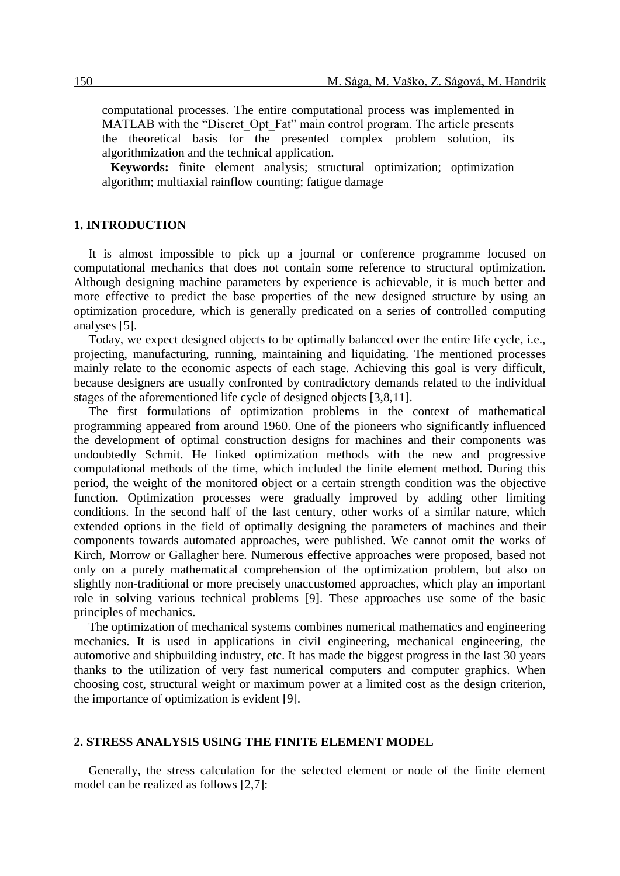computational processes. The entire computational process was implemented in MATLAB with the "Discret Opt Fat" main control program. The article presents the theoretical basis for the presented complex problem solution, its algorithmization and the technical application.

**Keywords:** finite element analysis; structural optimization; optimization algorithm; multiaxial rainflow counting; fatigue damage

#### **1. INTRODUCTION**

It is almost impossible to pick up a journal or conference programme focused on computational mechanics that does not contain some reference to structural optimization. Although designing machine parameters by experience is achievable, it is much better and more effective to predict the base properties of the new designed structure by using an optimization procedure, which is generally predicated on a series of controlled computing analyses [5].

Today, we expect designed objects to be optimally balanced over the entire life cycle, i.e., projecting, manufacturing, running, maintaining and liquidating. The mentioned processes mainly relate to the economic aspects of each stage. Achieving this goal is very difficult, because designers are usually confronted by contradictory demands related to the individual stages of the aforementioned life cycle of designed objects [3,8,11].

The first formulations of optimization problems in the context of mathematical programming appeared from around 1960. One of the pioneers who significantly influenced the development of optimal construction designs for machines and their components was undoubtedly Schmit. He linked optimization methods with the new and progressive computational methods of the time, which included the finite element method. During this period, the weight of the monitored object or a certain strength condition was the objective function. Optimization processes were gradually improved by adding other limiting conditions. In the second half of the last century, other works of a similar nature, which extended options in the field of optimally designing the parameters of machines and their components towards automated approaches, were published. We cannot omit the works of Kirch, Morrow or Gallagher here. Numerous effective approaches were proposed, based not only on a purely mathematical comprehension of the optimization problem, but also on slightly non-traditional or more precisely unaccustomed approaches, which play an important role in solving various technical problems [9]. These approaches use some of the basic principles of mechanics.

The optimization of mechanical systems combines numerical mathematics and engineering mechanics. It is used in applications in civil engineering, mechanical engineering, the automotive and shipbuilding industry, etc. It has made the biggest progress in the last 30 years thanks to the utilization of very fast numerical computers and computer graphics. When choosing cost, structural weight or maximum power at a limited cost as the design criterion, the importance of optimization is evident [9].

#### **2. STRESS ANALYSIS USING THE FINITE ELEMENT MODEL**

Generally, the stress calculation for the selected element or node of the finite element model can be realized as follows [2,7]: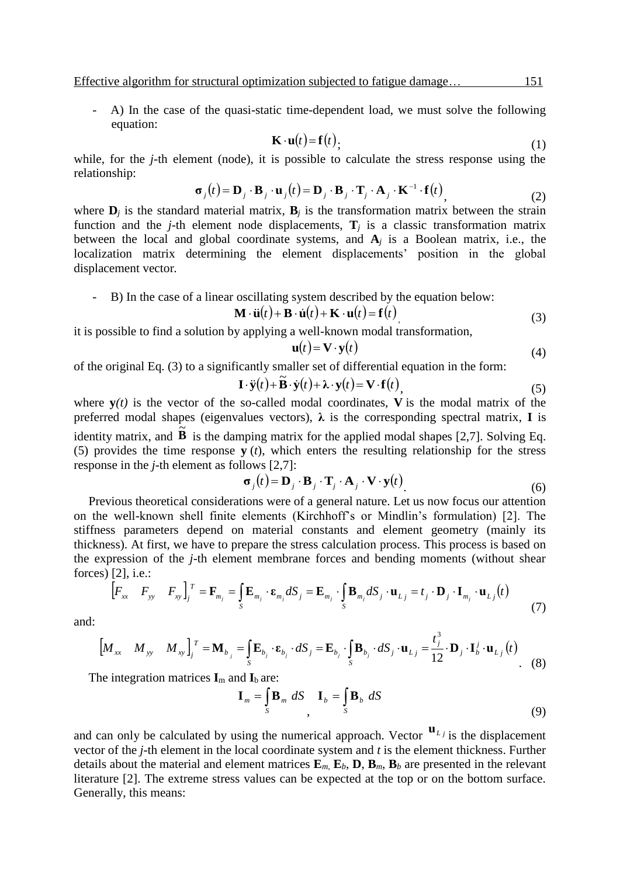- A) In the case of the quasi-static time-dependent load, we must solve the following equation:

$$
\mathbf{K} \cdot \mathbf{u}(t) = \mathbf{f}(t), \tag{1}
$$

while, for the *j*-th element (node), it is possible to calculate the stress response using the relationship:

$$
\boldsymbol{\sigma}_j(t) = \mathbf{D}_j \cdot \mathbf{B}_j \cdot \mathbf{u}_j(t) = \mathbf{D}_j \cdot \mathbf{B}_j \cdot \mathbf{T}_j \cdot \mathbf{A}_j \cdot \mathbf{K}^{-1} \cdot \mathbf{f}(t),
$$
\n(2)

where  $\mathbf{D}_i$  is the standard material matrix,  $\mathbf{B}_i$  is the transformation matrix between the strain function and the *j*-th element node displacements,  $\mathbf{T}_i$  is a classic transformation matrix between the local and global coordinate systems, and **A***<sup>j</sup>* is a Boolean matrix, i.e., the localization matrix determining the element displacements' position in the global displacement vector*.*

- B) In the case of a linear oscillating system described by the equation below:

$$
\mathbf{M} \cdot \ddot{\mathbf{u}}(t) + \mathbf{B} \cdot \dot{\mathbf{u}}(t) + \mathbf{K} \cdot \mathbf{u}(t) = \mathbf{f}(t)
$$
\n(3)

it is possible to find a solution by applying a well-known modal transformation,

$$
\mathbf{u}(t) = \mathbf{V} \cdot \mathbf{y}(t) \tag{4}
$$

of the original Eq. (3) to a significantly smaller set of differential equation in the form:

$$
\mathbf{I} \cdot \ddot{\mathbf{y}}(t) + \widetilde{\mathbf{B}} \cdot \dot{\mathbf{y}}(t) + \lambda \cdot \mathbf{y}(t) = \mathbf{V} \cdot \mathbf{f}(t),
$$
\n(5)

where  $y(t)$  is the vector of the so-called modal coordinates, V is the modal matrix of the preferred modal shapes (eigenvalues vectors),  $\lambda$  is the corresponding spectral matrix, **I** is identity matrix, and  $\overrightarrow{B}$  is the damping matrix for the applied modal shapes [2,7]. Solving Eq.

(5) provides the time response **y** (*t*), which enters the resulting relationship for the stress response in the *j*-th element as follows [2,7]:

$$
\boldsymbol{\sigma}_j(t) = \mathbf{D}_j \cdot \mathbf{B}_j \cdot \mathbf{T}_j \cdot \mathbf{A}_j \cdot \mathbf{V} \cdot \mathbf{y}(t)
$$
\n(6)

Previous theoretical considerations were of a general nature. Let us now focus our attention on the well-known shell finite elements (Kirchhoff's or Mindlin's formulation) [2]. The stiffness parameters depend on material constants and element geometry (mainly its thickness). At first, we have to prepare the stress calculation process. This process is based on the expression of the *j*-th element membrane forces and bending moments (without shear forces) [2], i.e.:

$$
\begin{bmatrix} F_{xx} & F_{yy} & F_{xy} \end{bmatrix}_{j}^{T} = \mathbf{F}_{m_{j}} = \int_{S} \mathbf{E}_{m_{j}} \cdot \mathbf{\varepsilon}_{m_{j}} dS_{j} = \mathbf{E}_{m_{j}} \cdot \int_{S} \mathbf{B}_{m_{j}} dS_{j} \cdot \mathbf{u}_{L j} = t_{j} \cdot \mathbf{D}_{j} \cdot \mathbf{I}_{m_{j}} \cdot \mathbf{u}_{L j}(t)
$$
(7)

and:

$$
\begin{bmatrix} M_{xx} & M_{yy} & M_{xy} \end{bmatrix}_{j}^{T} = \mathbf{M}_{b_{j}} = \int_{S} \mathbf{E}_{b_{j}} \cdot \mathbf{\varepsilon}_{b_{j}} \cdot dS_{j} = \mathbf{E}_{b_{j}} \cdot \int_{S} \mathbf{B}_{b_{j}} \cdot dS_{j} \cdot \mathbf{u}_{Lj} = \frac{t_{j}^{3}}{12} \cdot \mathbf{D}_{j} \cdot \mathbf{I}_{b}^{j} \cdot \mathbf{u}_{Lj} (t)
$$
\n(8)

The integration matrices  $I_m$  and  $I_b$  are:

$$
\mathbf{I}_m = \int_S \mathbf{B}_m \ dS \quad \mathbf{I}_b = \int_S \mathbf{B}_b \ dS \tag{9}
$$

and can only be calculated by using the numerical approach. Vector  $\mathbf{u}_{L}$  is the displacement vector of the *j*-th element in the local coordinate system and *t* is the element thickness. Further details about the material and element matrices  $\mathbf{E}_m$ ,  $\mathbf{E}_b$ ,  $\mathbf{D}$ ,  $\mathbf{B}_m$ ,  $\mathbf{B}_b$  are presented in the relevant literature [2]. The extreme stress values can be expected at the top or on the bottom surface. Generally, this means: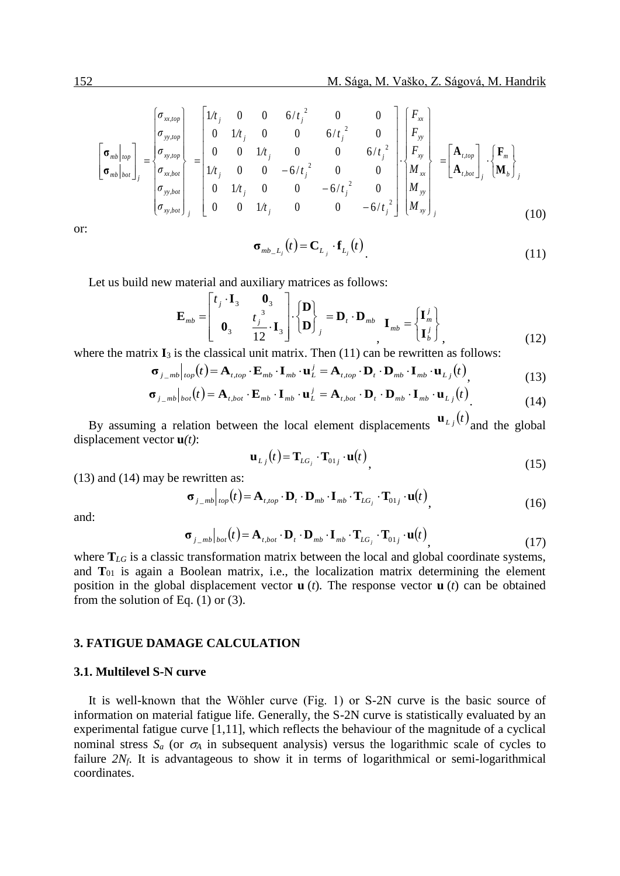$$
\begin{bmatrix}\n\sigma_{mb}|_{top} \\
\sigma_{mb}|_{bot}\n\end{bmatrix}_{j} = \begin{bmatrix}\n\sigma_{xx, top} \\
\sigma_{yy, top} \\
\sigma_{xx, bot} \\
\sigma_{yy, bot} \\
\sigma_{xy, bot}\n\end{bmatrix}_{j} = \begin{bmatrix}\n1/t_{j} & 0 & 0 & 6/t_{j}^{2} & 0 & 0 \\
0 & 1/t_{j} & 0 & 0 & 6/t_{j}^{2} & 0 \\
0 & 0 & 1/t_{j} & 0 & 0 & 6/t_{j}^{2} \\
1/t_{j} & 0 & 0 & -6/t_{j}^{2} & 0 & 0 \\
0 & 1/t_{j} & 0 & 0 & -6/t_{j}^{2} & 0 \\
0 & 1/t_{j} & 0 & 0 & -6/t_{j}^{2} & 0 \\
0 & 0 & 1/t_{j} & 0 & 0 & -6/t_{j}^{2}\n\end{bmatrix}\n\begin{bmatrix}\nF_{xx} \\
F_{yy} \\
F_{xy} \\
M_{xx} \\
M_{xy}\n\end{bmatrix} = \begin{bmatrix}\n\mathbf{A}_{t, top} \\
\mathbf{A}_{t, top} \\
\mathbf{A}_{t, bot}\n\end{bmatrix}_{j} \cdot \begin{bmatrix}\n\mathbf{F}_{m} \\
\mathbf{F}_{m} \\
\mathbf{M}_{b}\n\end{bmatrix}_{j}
$$
\n(10)

or:

$$
\boldsymbol{\sigma}_{mb_{-}L_j}(t) = \mathbf{C}_{L_j} \cdot \mathbf{f}_{L_j}(t) \tag{11}
$$

Let us build new material and auxiliary matrices as follows:

$$
\mathbf{E}_{mb} = \begin{bmatrix} t_j \cdot \mathbf{I}_3 & \mathbf{0}_3 \\ \mathbf{0}_3 & t_j^3 \\ \mathbf{0}_3 & 12 \end{bmatrix} \cdot \begin{bmatrix} \mathbf{D} \\ \mathbf{D} \end{bmatrix}_j = \mathbf{D}_t \cdot \mathbf{D}_{mb} \quad \mathbf{I}_{mb} = \begin{bmatrix} \mathbf{I}_m^j \\ \mathbf{I}_b^j \end{bmatrix}_j, \tag{12}
$$

where the matrix  $\mathbf{I}_3$  is the classical unit matrix. Then (11) can be rewritten as follows:

$$
\boldsymbol{\sigma}_{j_{-}mb}|_{top}(t) = \mathbf{A}_{t,top} \cdot \mathbf{E}_{mb} \cdot \mathbf{I}_{mb} \cdot \mathbf{u}_{L}^{j} = \mathbf{A}_{t,top} \cdot \mathbf{D}_{n} \cdot \mathbf{I}_{mb} \cdot \mathbf{I}_{mb} \cdot \mathbf{u}_{Lj}(t), \qquad (13)
$$

$$
\sigma_{j_{\perp}mb}|_{bot}(t) = \mathbf{A}_{t,bot} \cdot \mathbf{E}_{mb} \cdot \mathbf{I}_{mb} \cdot \mathbf{u}_{L}^{j} = \mathbf{A}_{t,bot} \cdot \mathbf{D}_{t} \cdot \mathbf{D}_{mb} \cdot \mathbf{I}_{mb} \cdot \mathbf{u}_{Lj}(t)
$$
(13)

By assuming a relation between the local element displacements  $\mathbf{u}_{L}$ ,  $(t)$  and the global displacement vector **u***(t)*:  $\mathbb{R}^2$ 

$$
\mathbf{u}_{Lj}(t) = \mathbf{T}_{LG_j} \cdot \mathbf{T}_{01j} \cdot \mathbf{u}(t), \qquad (15)
$$

(13) and (14) may be rewritten as:

$$
\boldsymbol{\sigma}_{j_{\perp}mb}|_{top}(t) = \mathbf{A}_{t,top} \cdot \mathbf{D}_t \cdot \mathbf{D}_{mb} \cdot \mathbf{I}_{mb} \cdot \mathbf{T}_{LG_j} \cdot \mathbf{T}_{01j} \cdot \mathbf{u}(t),
$$
\n(16)

and:

$$
\boldsymbol{\sigma}_{j_{-}mb}|_{bot}(t) = \mathbf{A}_{t,bot} \cdot \mathbf{D}_t \cdot \mathbf{D}_{mb} \cdot \mathbf{I}_{mb} \cdot \mathbf{T}_{LG_j} \cdot \mathbf{T}_{01j} \cdot \mathbf{u}(t),
$$
\n(17)

where  $T_{LG}$  is a classic transformation matrix between the local and global coordinate systems, and  $T_{01}$  is again a Boolean matrix, i.e., the localization matrix determining the element position in the global displacement vector **u** (*t*)*.* The response vector **u** (*t*) can be obtained from the solution of Eq.  $(1)$  or  $(3)$ .

# **3. FATIGUE DAMAGE CALCULATION**

#### **3.1. Multilevel S-N curve**

It is well-known that the Wöhler curve (Fig. 1) or S-2N curve is the basic source of information on material fatigue life. Generally, the S-2N curve is statistically evaluated by an experimental fatigue curve [1,11], which reflects the behaviour of the magnitude of a cyclical nominal stress  $S_a$  (or  $\sigma_A$  in subsequent analysis) versus the logarithmic scale of cycles to failure 2N<sub>f</sub>. It is advantageous to show it in terms of logarithmical or semi-logarithmical coordinates.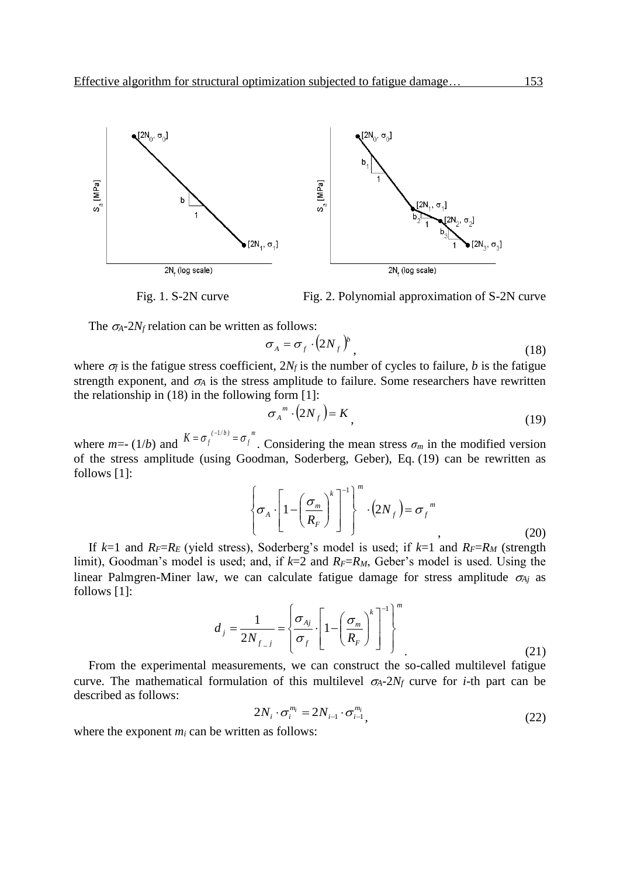

Fig. 1. S-2N curve Fig. 2. Polynomial approximation of S-2N curve

The  $\sigma_A$ -2*N*<sub>f</sub> relation can be written as follows:

$$
\sigma_A = \sigma_f \cdot (2N_f)^b \tag{18}
$$

where  $\sigma_f$  is the fatigue stress coefficient,  $2N_f$  is the number of cycles to failure, *b* is the fatigue strength exponent, and  $\sigma_A$  is the stress amplitude to failure. Some researchers have rewritten the relationship in (18) in the following form [1]:

$$
\sigma_A^{\,m} \cdot (2N_f) = K \tag{19}
$$

where *m*=- (1*/b*) and  $K = \sigma_f^{(-1/b)} = \sigma_f^{m}$  $K = \sigma_f^{(-1/b)} = \sigma_f^{m}$ . Considering the mean stress  $\sigma_m$  in the modified version of the stress amplitude (using Goodman, Soderberg, Geber), Eq. (19) can be rewritten as follows [1]:

$$
\left\{\sigma_A \cdot \left[1 - \left(\frac{\sigma_m}{R_F}\right)^k\right]^{-1}\right\}^m \cdot \left(2N_f\right) = \sigma_f^m
$$
\n(20)

If  $k=1$  and  $R_F=R_E$  (yield stress), Soderberg's model is used; if  $k=1$  and  $R_F=R_M$  (strength limit), Goodman's model is used; and, if  $k=2$  and  $R_F=R_M$ , Geber's model is used. Using the linear Palmgren-Miner law, we can calculate fatigue damage for stress amplitude  $\sigma_{Ai}$  as follows [1]:

$$
d_j = \frac{1}{2N_{f-j}} = \left\{ \frac{\sigma_{Aj}}{\sigma_f} \cdot \left[ 1 - \left( \frac{\sigma_m}{R_F} \right)^k \right]^{-1} \right\}^m
$$
\n(21)

From the experimental measurements, we can construct the so-called multilevel fatigue curve. The mathematical formulation of this multilevel  $\sigma_A$ -2 $N_f$  curve for *i*-th part can be described as follows:

$$
2N_i \cdot \sigma_i^{m_i} = 2N_{i-1} \cdot \sigma_{i-1}^{m_i},\tag{22}
$$

where the exponent  $m_i$  can be written as follows: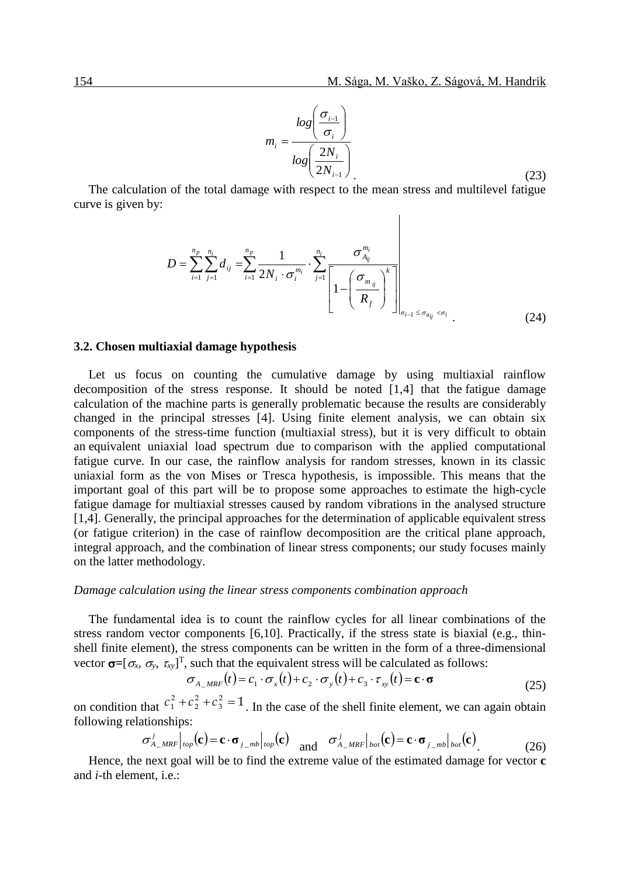$$
m_i = \frac{\log\left(\frac{\sigma_{i-1}}{\sigma_i}\right)}{\log\left(\frac{2N_i}{2N_{i-1}}\right)}\tag{23}
$$

 $\overline{\phantom{a}}$ 

The calculation of the total damage with respect to the mean stress and multilevel fatigue curve is given by:

$$
D = \sum_{i=1}^{n_p} \sum_{j=1}^{n_i} d_{ij} = \sum_{i=1}^{n_p} \frac{1}{2N_i \cdot \sigma_i^{m_i}} \cdot \sum_{j=1}^{n_i} \frac{\sigma_{A_{ij}}^{m_i}}{\left[1 - \left(\frac{\sigma_{m_{ij}}}{R_f}\right)^k\right]_{\sigma_{i-1} \le \sigma_{a_{ij}} < \sigma_i} \tag{24}
$$

#### **3.2. Chosen multiaxial damage hypothesis**

Let us focus on counting the cumulative damage by using multiaxial rainflow decomposition of the stress response. It should be noted [1,4] that the fatigue damage calculation of the machine parts is generally problematic because the results are considerably changed in the principal stresses [4]. Using finite element analysis, we can obtain six components of the stress-time function (multiaxial stress), but it is very difficult to obtain an equivalent uniaxial load spectrum due to comparison with the applied computational fatigue curve. In our case, the rainflow analysis for random stresses, known in its classic uniaxial form as the von Mises or Tresca hypothesis, is impossible. This means that the important goal of this part will be to propose some approaches to estimate the high-cycle fatigue damage for multiaxial stresses caused by random vibrations in the analysed structure [1,4]. Generally, the principal approaches for the determination of applicable equivalent stress (or fatigue criterion) in the case of rainflow decomposition are the critical plane approach, integral approach, and the combination of linear stress components; our study focuses mainly on the latter methodology.

#### *Damage calculation using the linear stress components combination approach*

The fundamental idea is to count the rainflow cycles for all linear combinations of the stress random vector components [6,10]. Practically, if the stress state is biaxial (e.g., thinshell finite element), the stress components can be written in the form of a three-dimensional vector  $\sigma = [\sigma_x, \sigma_y, \tau_{xy}]^T$ , such that the equivalent stress will be calculated as follows:

$$
\sigma_{A\_MRF}(t) = c_1 \cdot \sigma_x(t) + c_2 \cdot \sigma_y(t) + c_3 \cdot \tau_{xy}(t) = \mathbf{c} \cdot \mathbf{\sigma}
$$
\n(25)

on condition that  $c_1^2 + c_2^2 + c_3^2 = 1$ 3 2 2  $c_1^2 + c_2^2 + c_3^2 = 1$ . In the case of the shell finite element, we can again obtain following relationships:

$$
\sigma_{A_{\perp}MRF}^{j}|_{top}(\mathbf{c}) = \mathbf{c} \cdot \mathbf{\sigma}_{j_{\perp}mb}|_{top}(\mathbf{c}) \quad \text{and} \quad \sigma_{A_{\perp}MRF}^{j}|_{bot}(\mathbf{c}) = \mathbf{c} \cdot \mathbf{\sigma}_{j_{\perp}mb}|_{bot}(\mathbf{c})
$$
\n(26)

Hence, the next goal will be to find the extreme value of the estimated damage for vector **c**  and *i*-th element, i.e.: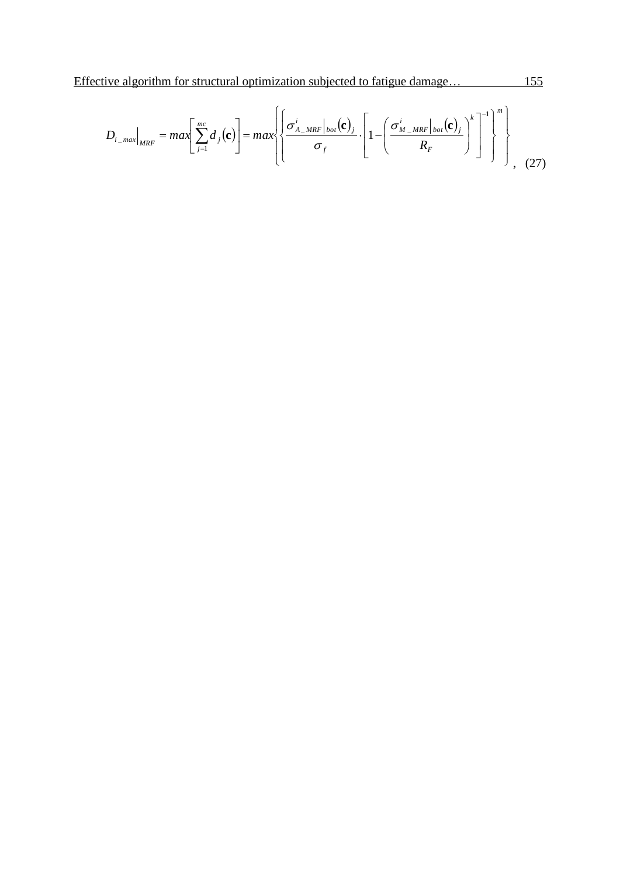$$
D_{i\_max}|_{MRF} = max \left[ \sum_{j=1}^{mc} d_j(\mathbf{c}) \right] = max \left\{ \left[ \frac{\sigma_{A\_MRF}^i|_{bot}(\mathbf{c})_j}{\sigma_f} \cdot \left[ 1 - \left( \frac{\sigma_{M\_MRF}^i|_{bot}(\mathbf{c})_j}{R_F} \right)^k \right]^{-1} \right\}^m \right\}
$$
(27)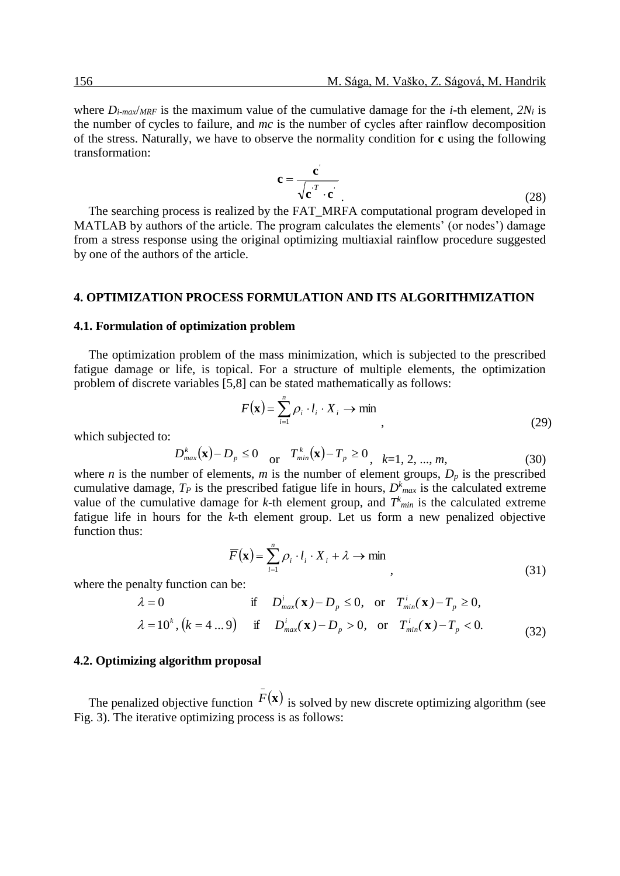where  $D_{i\text{-}max}/MRF$  is the maximum value of the cumulative damage for the *i*-th element,  $2N_i$  is the number of cycles to failure, and *mc* is the number of cycles after rainflow decomposition of the stress. Naturally, we have to observe the normality condition for **c** using the following transformation:

$$
\mathbf{c} = \frac{\mathbf{c}'}{\sqrt{\mathbf{c'}^T \cdot \mathbf{c'}}}
$$
 (28)

The searching process is realized by the FAT\_MRFA computational program developed in MATLAB by authors of the article. The program calculates the elements' (or nodes') damage from a stress response using the original optimizing multiaxial rainflow procedure suggested by one of the authors of the article.

#### **4. OPTIMIZATION PROCESS FORMULATION AND ITS ALGORITHMIZATION**

#### **4.1. Formulation of optimization problem**

The optimization problem of the mass minimization, which is subjected to the prescribed fatigue damage or life, is topical. For a structure of multiple elements, the optimization problem of discrete variables [5,8] can be stated mathematically as follows:

$$
F(\mathbf{x}) = \sum_{i=1}^{n} \rho_i \cdot l_i \cdot X_i \to \min , \qquad (29)
$$

which subjected to:

$$
D_{max}^{k}(\mathbf{x}) - D_p \le 0 \quad \text{or} \quad T_{min}^{k}(\mathbf{x}) - T_p \ge 0, \quad k = 1, 2, ..., m,
$$
 (30)

where *n* is the number of elements, *m* is the number of element groups,  $D_p$  is the prescribed cumulative damage,  $T_P$  is the prescribed fatigue life in hours,  $D^k_{max}$  is the calculated extreme value of the cumulative damage for *k*-th element group, and  $T^k_{min}$  is the calculated extreme fatigue life in hours for the *k*-th element group. Let us form a new penalized objective function thus:

$$
\overline{F}(\mathbf{x}) = \sum_{i=1}^{n} \rho_i \cdot l_i \cdot X_i + \lambda \to \min_{\lambda}
$$
\n(31)

where the penalty function can be:

$$
\lambda = 0 \quad \text{if} \quad D_{\text{max}}^i(\mathbf{x}) - D_p \le 0, \quad \text{or} \quad T_{\text{min}}^i(\mathbf{x}) - T_p \ge 0,
$$
\n
$$
\lambda = 10^k, (k = 4 \dots 9) \quad \text{if} \quad D_{\text{max}}^i(\mathbf{x}) - D_p > 0, \quad \text{or} \quad T_{\text{min}}^i(\mathbf{x}) - T_p < 0.
$$
\n(32)

#### **4.2. Optimizing algorithm proposal**

The penalized objective function  $\overline{F}(\mathbf{x})$  is solved by new discrete optimizing algorithm (see Fig. 3). The iterative optimizing process is as follows: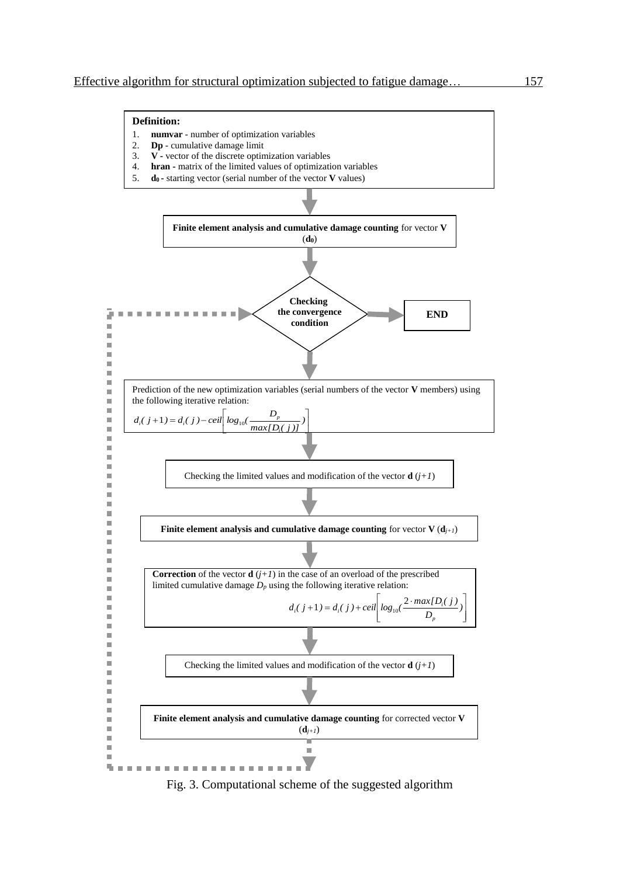#### **Definition:** 1. **numvar** - number of optimization variables 2. **Dp** - cumulative damage limit 3. **V -** vector of the discrete optimization variables 4. **hran -** matrix of the limited values of optimization variables 5. **d0 -** starting vector (serial number of the vector **V** values) **Finite element analysis and cumulative damage counting** for vector **V** (**d0**) **Checking the convergence** P. . . . . . . . . . . . . . . . **END condition** Î. Ė Ī. × ٠ ٠ Ì. Prediction of the new optimization variables (serial numbers of the vector **V** members) using  $\blacksquare$ the following iterative relation:  $\blacksquare$ ٠  $d_i(j+1) = d_i(j) - ceil \left[ log_{10}(\frac{D_i}{\sigma_i}) \right]$  $(1+1) = d_i(j) - ceil \left[ log_{10}(\frac{D_p}{max[D_i(j)]})\right]$ 1 ×  $p'_{i}(j+1) = d_{i}(j) - ceil \log_{10}(\frac{D_{p}}{n})$ Ľ ŀ Ė ┙ *i*  $\blacksquare$  $\mathbf{u}$ × Î. Ė Checking the limited values and modification of the vector  $\mathbf{d}$  ( $j+1$ )  $\blacksquare$ × i. Î. Ė **Finite element analysis and cumulative damage counting** for vector  $V(d_{j+1})$  $\blacksquare$ ۵ i. Ė Î. **Correction** of the vector **d**  $(j+1)$  in the case of an overload of the prescribed Î. limited cumulative damage  $D_p$  using the following iterative relation: × i.  $(1+1) = d_i(j) + ceil \left[ log_{10}(\frac{2 \cdot max[D_i(j)]}{D_n}) \right]$  $\overline{\phantom{a}}$  $d_i(j+1) = d_i(j) + ceil \log_{10}(\frac{2 \cdot max[D_i(j))}{n}$  $d_i(j+1) = d_i(j) + ceil \log_{10}(\frac{2 \cdot max[D_i]}{D_i})$  $\blacksquare$ ļ. Ŋ  $\Box$ L  $\overline{\phantom{a}}$ L J *p* i. ٠ ٠ Ė ۵ Checking the limited values and modification of the vector **d**  $(j+1)$ ٠ ٠ ٠ Ė ٠ **Finite element analysis and cumulative damage counting** for corrected vector **V** ٠ ٠  $(d_{j+1})$ Î. i.  $\blacksquare$  $\blacksquare$ Σ **CONTRACTOR** Station of **CONTRACTOR** × Î. ×.

Fig. 3. Computational scheme of the suggested algorithm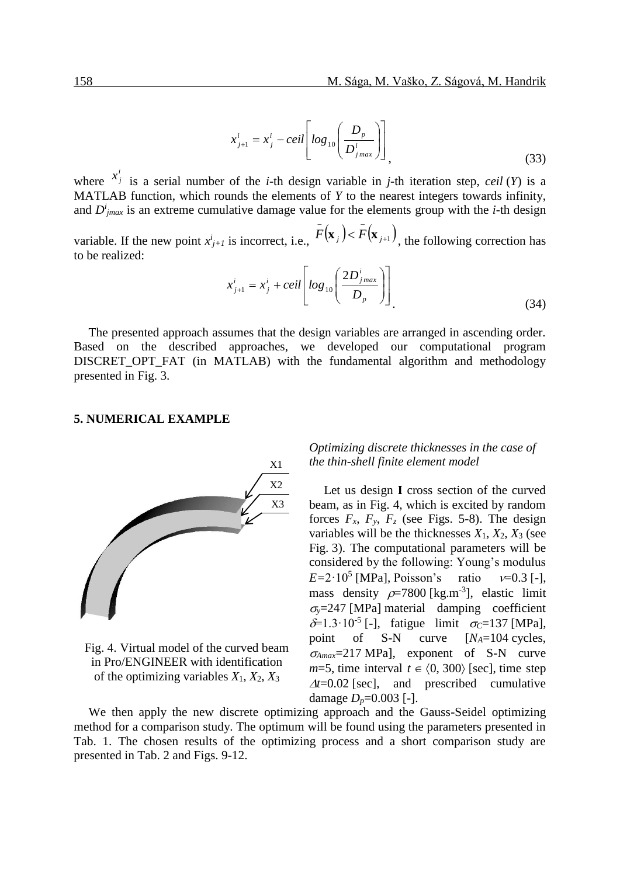$$
x_{j+1}^i = x_j^i - ceil \left[ log_{10} \left( \frac{D_p}{D_{jmax}^i} \right) \right],
$$
\n(33)

where  $x_j^i$  $x^i_j$  is a serial number of the *i*-th design variable in *j*-th iteration step, *ceil* (*Y*) is a MATLAB function, which rounds the elements of *Y* to the nearest integers towards infinity, and  $D^i_{\text{jmax}}$  is an extreme cumulative damage value for the elements group with the *i*-th design

variable. If the new point  $x_{j+1}^i$  is incorrect, i.e.,  $\overline{F}(\mathbf{x}_j) < \overline{F}(\mathbf{x}_{j+1})$ , the following correction has to be realized:

$$
x_{j+1}^i = x_j^i + ceil \left[ \log_{10} \left( \frac{2D_{j_{max}}^i}{D_p} \right) \right]
$$
 (34)

The presented approach assumes that the design variables are arranged in ascending order. Based on the described approaches, we developed our computational program DISCRET OPT FAT (in MATLAB) with the fundamental algorithm and methodology presented in Fig. 3.

## **5. NUMERICAL EXAMPLE**



Fig. 4. Virtual model of the curved beam in Pro/ENGINEER with identification of the optimizing variables *X*1, *X*2, *X*3

# *Optimizing discrete thicknesses in the case of the thin-shell finite element model*

Let us design **I** cross section of the curved beam, as in Fig. 4, which is excited by random forces  $F_x$ ,  $F_y$ ,  $F_z$  (see Figs. 5-8). The design variables will be the thicknesses  $X_1$ ,  $X_2$ ,  $X_3$  (see Fig. 3). The computational parameters will be considered by the following: Young's modulus  $E=2.10^5$  [MPa], Poisson's ratio  $v=0.3$  [-], mass density  $\rho$ =7800 [kg.m<sup>-3</sup>], elastic limit  $\sigma_{\rm v}$ =247 [MPa] material damping coefficient  $\delta = 1.3 \cdot 10^{-5}$  [-], fatigue limit  $\sigma_c = 137$  [MPa], point of S-N curve [*NA*=104 cycles, *Amax*=217 MPa], exponent of S-N curve  $m=5$ , time interval  $t \in (0, 300)$  [sec], time step  $\Delta t = 0.02$  [sec], and prescribed cumulative damage  $D_p = 0.003$  [-].

We then apply the new discrete optimizing approach and the Gauss-Seidel optimizing method for a comparison study. The optimum will be found using the parameters presented in Tab. 1. The chosen results of the optimizing process and a short comparison study are presented in Tab. 2 and Figs. 9-12.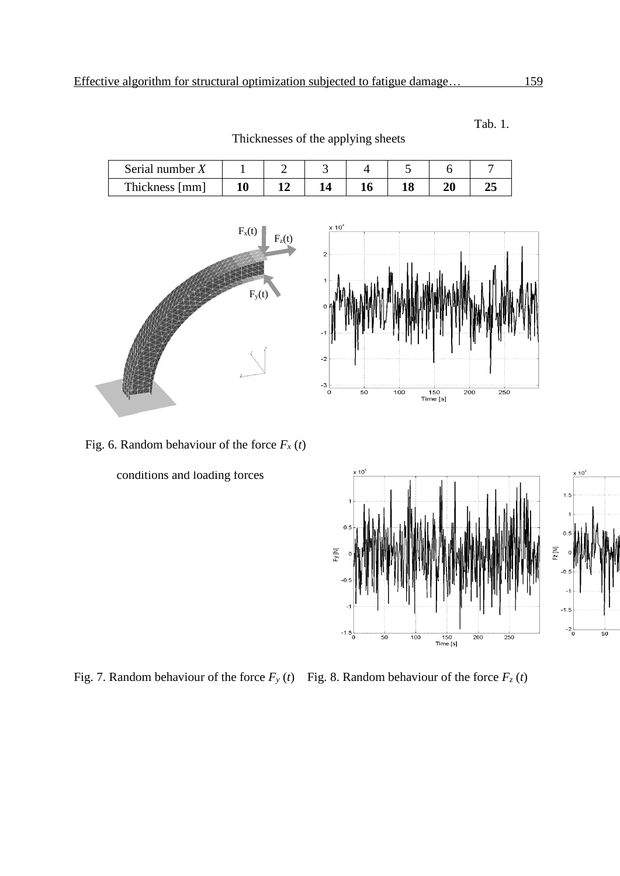| Serial number $X$ |  |  |  |  |
|-------------------|--|--|--|--|
| Thickness [mm]    |  |  |  |  |

Thicknesses of the applying sheets



 $10^{\circ}$  $\overline{a}$  $\frac{-3}{0}$  $100$  $\frac{1}{150}$ <br>Time [s]  $\frac{1}{200}$  $\frac{1}{250}$  $\overline{50}$ 

Fig. 6. Random behaviour of the force  $F_x(t)$ 

conditions and loading forces



Fig. 7. Random behaviour of the force  $F_y(t)$  Fig. 8. Random behaviour of the force  $F_z(t)$ 

Tab. 1.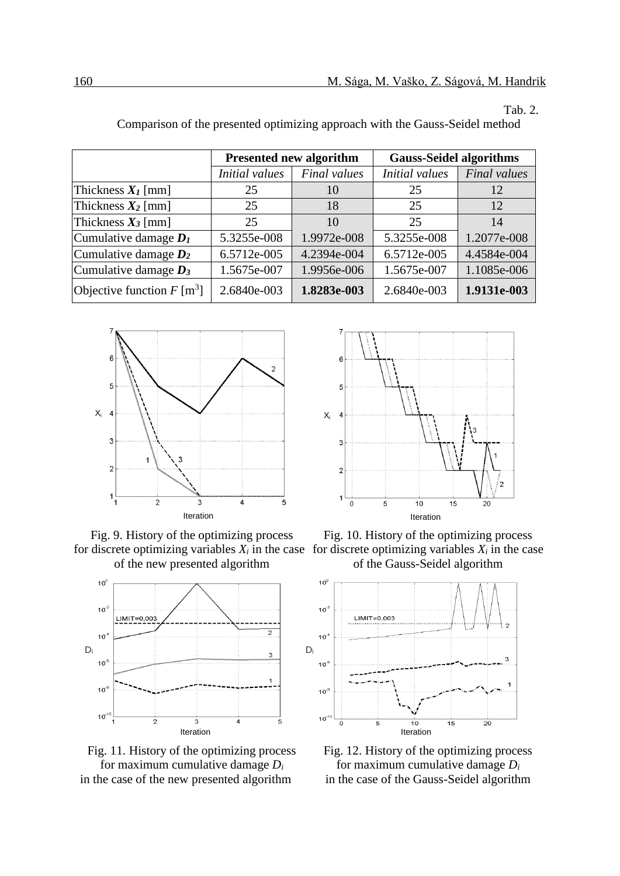Tab. 2.

|                              |                | <b>Presented new algorithm</b> | <b>Gauss-Seidel algorithms</b> |              |  |
|------------------------------|----------------|--------------------------------|--------------------------------|--------------|--|
|                              | Initial values | <b>Final</b> values            | <b>Initial</b> values          | Final values |  |
| Thickness $X_I$ [mm]         | 25             | 10                             | 25                             | 12           |  |
| Thickness $X_2$ [mm]         | 25             | 18                             | 25                             | 12           |  |
| Thickness $X_3$ [mm]         | 25             | 10                             | 25                             | 14           |  |
| Cumulative damage $D_1$      | 5.3255e-008    | 1.9972e-008                    | 5.3255e-008                    | 1.2077e-008  |  |
| Cumulative damage $D_2$      | 6.5712e-005    | 4.2394e-004                    | 6.5712e-005                    | 4.4584e-004  |  |
| Cumulative damage $D_3$      | 1.5675e-007    | 1.9956e-006                    | 1.5675e-007                    | 1.1085e-006  |  |
| Objective function $F [m^3]$ | 2.6840e-003    | 1.8283e-003                    | 2.6840e-003                    | 1.9131e-003  |  |

Comparison of the presented optimizing approach with the Gauss-Seidel method











Fig. 9. History of the optimizing process Fig. 10. History of the optimizing process for discrete optimizing variables  $X_i$  in the case for discrete optimizing variables  $X_i$  in the case of the new presented algorithm of the Gauss-Seidel algorithm



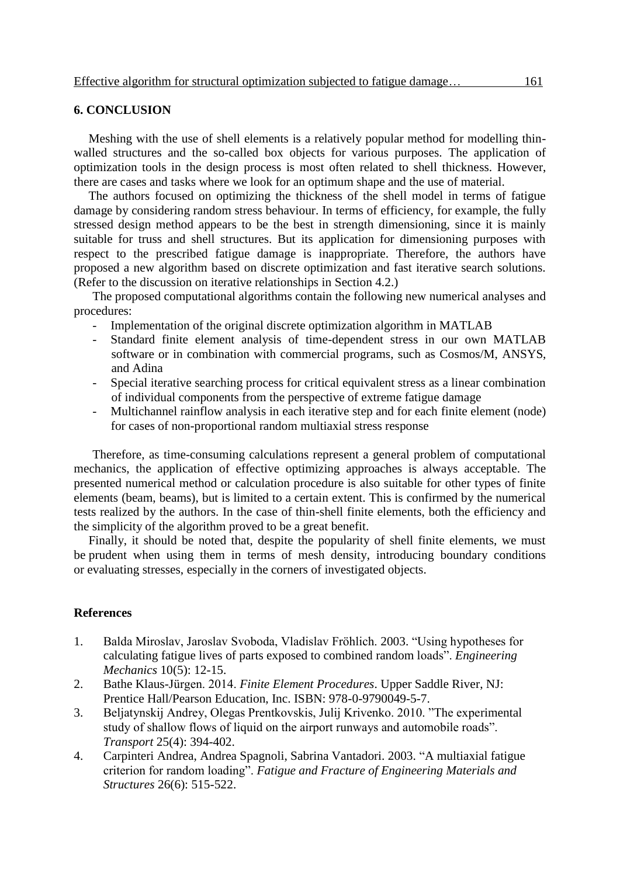# **6. CONCLUSION**

Meshing with the use of shell elements is a relatively popular method for modelling thinwalled structures and the so-called box objects for various purposes. The application of optimization tools in the design process is most often related to shell thickness. However, there are cases and tasks where we look for an optimum shape and the use of material.

The authors focused on optimizing the thickness of the shell model in terms of fatigue damage by considering random stress behaviour. In terms of efficiency, for example, the fully stressed design method appears to be the best in strength dimensioning, since it is mainly suitable for truss and shell structures. But its application for dimensioning purposes with respect to the prescribed fatigue damage is inappropriate. Therefore, the authors have proposed a new algorithm based on discrete optimization and fast iterative search solutions. (Refer to the discussion on iterative relationships in Section 4.2.)

The proposed computational algorithms contain the following new numerical analyses and procedures:

- Implementation of the original discrete optimization algorithm in MATLAB
- Standard finite element analysis of time-dependent stress in our own MATLAB software or in combination with commercial programs, such as Cosmos/M, ANSYS, and Adina
- Special iterative searching process for critical equivalent stress as a linear combination of individual components from the perspective of extreme fatigue damage
- Multichannel rainflow analysis in each iterative step and for each finite element (node) for cases of non-proportional random multiaxial stress response

Therefore, as time-consuming calculations represent a general problem of computational mechanics, the application of effective optimizing approaches is always acceptable. The presented numerical method or calculation procedure is also suitable for other types of finite elements (beam, beams), but is limited to a certain extent. This is confirmed by the numerical tests realized by the authors. In the case of thin-shell finite elements, both the efficiency and the simplicity of the algorithm proved to be a great benefit.

Finally, it should be noted that, despite the popularity of shell finite elements, we must be prudent when using them in terms of mesh density, introducing boundary conditions or evaluating stresses, especially in the corners of investigated objects.

### **References**

- 1. Balda Miroslav, Jaroslav Svoboda, Vladislav Fröhlich. 2003. "Using hypotheses for calculating fatigue lives of parts exposed to combined random loads". *Engineering Mechanics* 10(5): 12-15.
- 2. Bathe Klaus-Jürgen. 2014. *Finite Element Procedures*. Upper Saddle River, NJ: Prentice Hall/Pearson Education, Inc. ISBN: 978-0-9790049-5-7.
- 3. Beljatynskij Andrey, Olegas Prentkovskis, Julij Krivenko. 2010. "The experimental study of shallow flows of liquid on the airport runways and automobile roads". *Transport* 25(4): 394-402.
- 4. Carpinteri Andrea, Andrea Spagnoli, Sabrina Vantadori. 2003. "A multiaxial fatigue criterion for random loading". *Fatigue and Fracture of Engineering Materials and Structures* 26(6): 515-522.